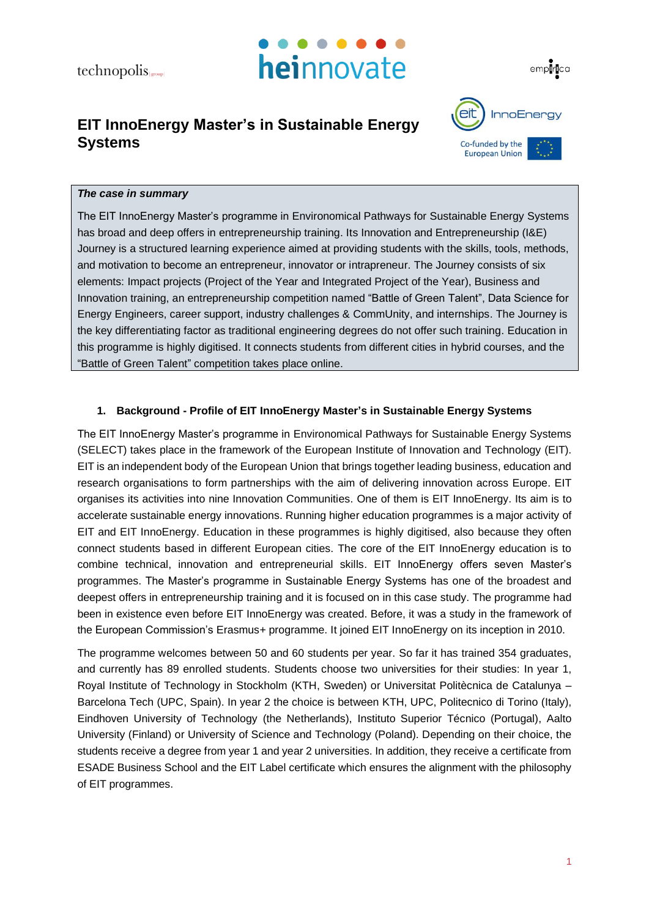



## **EIT InnoEnergy Master's in Sustainable Energy Systems**



## *The case in summary*

The EIT InnoEnergy Master's programme in Environomical Pathways for Sustainable Energy Systems has broad and deep offers in entrepreneurship training. Its Innovation and Entrepreneurship (I&E) Journey is a structured learning experience aimed at providing students with the skills, tools, methods, and motivation to become an entrepreneur, innovator or intrapreneur. The Journey consists of six elements: Impact projects (Project of the Year and Integrated Project of the Year), Business and Innovation training, an entrepreneurship competition named "Battle of Green Talent", Data Science for Energy Engineers, career support, industry challenges & CommUnity, and internships. The Journey is the key differentiating factor as traditional engineering degrees do not offer such training. Education in this programme is highly digitised. It connects students from different cities in hybrid courses, and the "Battle of Green Talent" competition takes place online.

#### **1. Background - Profile of EIT InnoEnergy Master's in Sustainable Energy Systems**

The EIT InnoEnergy Master's programme in Environomical Pathways for Sustainable Energy Systems (SELECT) takes place in the framework of the European Institute of Innovation and Technology (EIT). EIT is an independent body of the European Union that brings together leading business, education and research organisations to form partnerships with the aim of delivering innovation across Europe. EIT organises its activities into nine Innovation Communities. One of them is EIT InnoEnergy. Its aim is to accelerate sustainable energy innovations. Running higher education programmes is a major activity of EIT and EIT InnoEnergy. Education in these programmes is highly digitised, also because they often connect students based in different European cities. The core of the EIT InnoEnergy education is to combine technical, innovation and entrepreneurial skills. EIT InnoEnergy offers seven Master's programmes. The Master's programme in Sustainable Energy Systems has one of the broadest and deepest offers in entrepreneurship training and it is focused on in this case study. The programme had been in existence even before EIT InnoEnergy was created. Before, it was a study in the framework of the European Commission's Erasmus+ programme. It joined EIT InnoEnergy on its inception in 2010.

The programme welcomes between 50 and 60 students per year. So far it has trained 354 graduates, and currently has 89 enrolled students. Students choose two universities for their studies: In year 1, Royal Institute of Technology in Stockholm (KTH, Sweden) or Universitat Politècnica de Catalunya – Barcelona Tech (UPC, Spain). In year 2 the choice is between KTH, UPC, Politecnico di Torino (Italy), Eindhoven University of Technology (the Netherlands), Instituto Superior Técnico (Portugal), Aalto University (Finland) or University of Science and Technology (Poland). Depending on their choice, the students receive a degree from year 1 and year 2 universities. In addition, they receive a certificate from ESADE Business School and the EIT Label certificate which ensures the alignment with the philosophy of EIT programmes.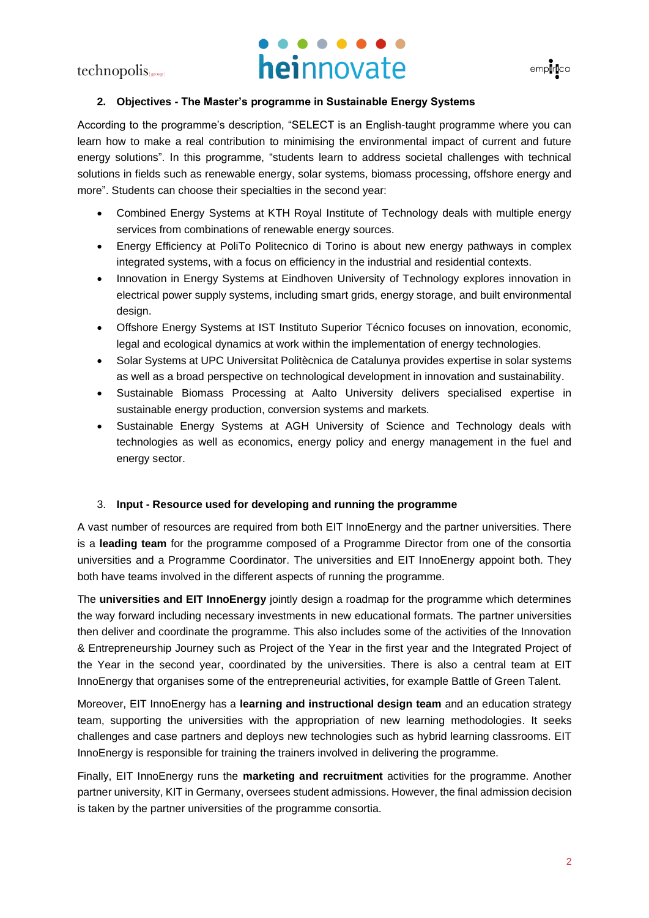# heinnovate



## **2. Objectives - The Master's programme in Sustainable Energy Systems**

According to the programme's description, "SELECT is an English-taught programme where you can learn how to make a real contribution to minimising the environmental impact of current and future energy solutions". In this programme, "students learn to address societal challenges with technical solutions in fields such as renewable energy, solar systems, biomass processing, offshore energy and more". Students can choose their specialties in the second year:

- Combined Energy Systems at KTH Royal Institute of Technology deals with multiple energy services from combinations of renewable energy sources.
- Energy Efficiency at PoliTo Politecnico di Torino is about new energy pathways in complex integrated systems, with a focus on efficiency in the industrial and residential contexts.
- Innovation in Energy Systems at Eindhoven University of Technology explores innovation in electrical power supply systems, including smart grids, energy storage, and built environmental design.
- Offshore Energy Systems at IST Instituto Superior Técnico focuses on innovation, economic, legal and ecological dynamics at work within the implementation of energy technologies.
- Solar Systems at UPC Universitat Politècnica de Catalunya provides expertise in solar systems as well as a broad perspective on technological development in innovation and sustainability.
- Sustainable Biomass Processing at Aalto University delivers specialised expertise in sustainable energy production, conversion systems and markets.
- Sustainable Energy Systems at AGH University of Science and Technology deals with technologies as well as economics, energy policy and energy management in the fuel and energy sector.

## 3. **Input - Resource used for developing and running the programme**

A vast number of resources are required from both EIT InnoEnergy and the partner universities. There is a **leading team** for the programme composed of a Programme Director from one of the consortia universities and a Programme Coordinator. The universities and EIT InnoEnergy appoint both. They both have teams involved in the different aspects of running the programme.

The **universities and EIT InnoEnergy** jointly design a roadmap for the programme which determines the way forward including necessary investments in new educational formats. The partner universities then deliver and coordinate the programme. This also includes some of the activities of the Innovation & Entrepreneurship Journey such as Project of the Year in the first year and the Integrated Project of the Year in the second year, coordinated by the universities. There is also a central team at EIT InnoEnergy that organises some of the entrepreneurial activities, for example Battle of Green Talent.

Moreover, EIT InnoEnergy has a **learning and instructional design team** and an education strategy team, supporting the universities with the appropriation of new learning methodologies. It seeks challenges and case partners and deploys new technologies such as hybrid learning classrooms. EIT InnoEnergy is responsible for training the trainers involved in delivering the programme.

Finally, EIT InnoEnergy runs the **marketing and recruitment** activities for the programme. Another partner university, KIT in Germany, oversees student admissions. However, the final admission decision is taken by the partner universities of the programme consortia.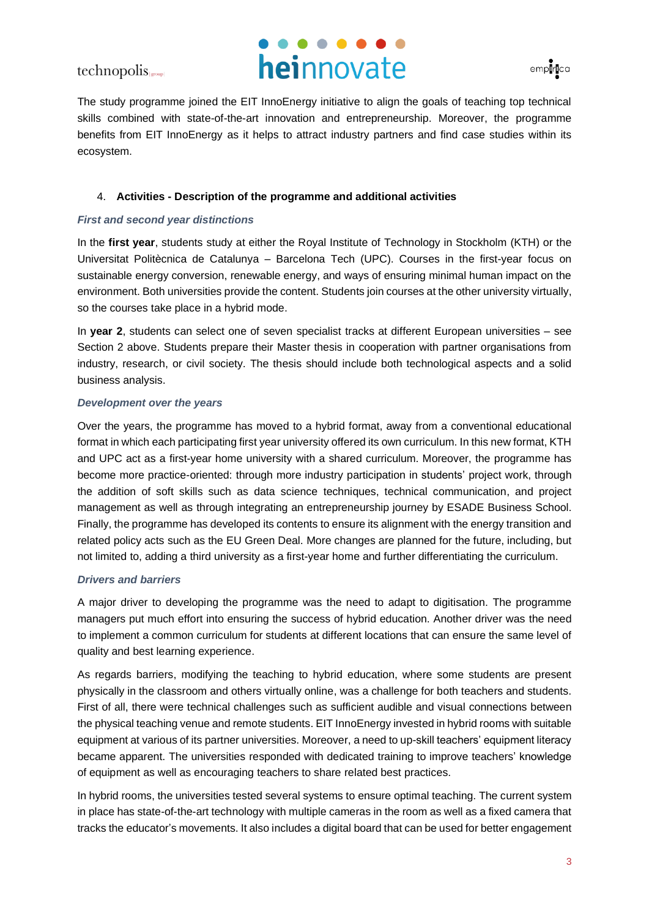## heinnovate



The study programme joined the EIT InnoEnergy initiative to align the goals of teaching top technical skills combined with state-of-the-art innovation and entrepreneurship. Moreover, the programme benefits from EIT InnoEnergy as it helps to attract industry partners and find case studies within its ecosystem.

## 4. **Activities - Description of the programme and additional activities**

## *First and second year distinctions*

In the **first year**, students study at either the Royal Institute of Technology in Stockholm (KTH) or the Universitat Politècnica de Catalunya – Barcelona Tech (UPC). Courses in the first-year focus on sustainable energy conversion, renewable energy, and ways of ensuring minimal human impact on the environment. Both universities provide the content. Students join courses at the other university virtually, so the courses take place in a hybrid mode.

In **year 2**, students can select one of seven specialist tracks at different European universities – see Section 2 above. Students prepare their Master thesis in cooperation with partner organisations from industry, research, or civil society. The thesis should include both technological aspects and a solid business analysis.

#### *Development over the years*

Over the years, the programme has moved to a hybrid format, away from a conventional educational format in which each participating first year university offered its own curriculum. In this new format, KTH and UPC act as a first-year home university with a shared curriculum. Moreover, the programme has become more practice-oriented: through more industry participation in students' project work, through the addition of soft skills such as data science techniques, technical communication, and project management as well as through integrating an entrepreneurship journey by ESADE Business School. Finally, the programme has developed its contents to ensure its alignment with the energy transition and related policy acts such as the EU Green Deal. More changes are planned for the future, including, but not limited to, adding a third university as a first-year home and further differentiating the curriculum.

## *Drivers and barriers*

A major driver to developing the programme was the need to adapt to digitisation. The programme managers put much effort into ensuring the success of hybrid education. Another driver was the need to implement a common curriculum for students at different locations that can ensure the same level of quality and best learning experience.

As regards barriers, modifying the teaching to hybrid education, where some students are present physically in the classroom and others virtually online, was a challenge for both teachers and students. First of all, there were technical challenges such as sufficient audible and visual connections between the physical teaching venue and remote students. EIT InnoEnergy invested in hybrid rooms with suitable equipment at various of its partner universities. Moreover, a need to up-skill teachers' equipment literacy became apparent. The universities responded with dedicated training to improve teachers' knowledge of equipment as well as encouraging teachers to share related best practices.

In hybrid rooms, the universities tested several systems to ensure optimal teaching. The current system in place has state-of-the-art technology with multiple cameras in the room as well as a fixed camera that tracks the educator's movements. It also includes a digital board that can be used for better engagement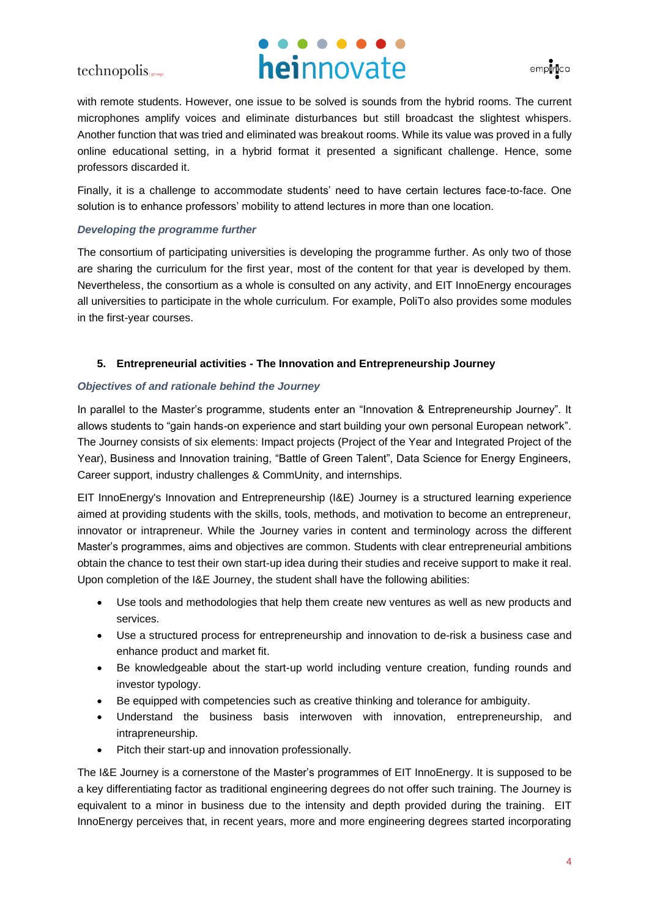# heinnovate



with remote students. However, one issue to be solved is sounds from the hybrid rooms. The current microphones amplify voices and eliminate disturbances but still broadcast the slightest whispers. Another function that was tried and eliminated was breakout rooms. While its value was proved in a fully online educational setting, in a hybrid format it presented a significant challenge. Hence, some professors discarded it.

Finally, it is a challenge to accommodate students' need to have certain lectures face-to-face. One solution is to enhance professors' mobility to attend lectures in more than one location.

## *Developing the programme further*

The consortium of participating universities is developing the programme further. As only two of those are sharing the curriculum for the first year, most of the content for that year is developed by them. Nevertheless, the consortium as a whole is consulted on any activity, and EIT InnoEnergy encourages all universities to participate in the whole curriculum. For example, PoliTo also provides some modules in the first-year courses.

## **5. Entrepreneurial activities - The Innovation and Entrepreneurship Journey**

## *Objectives of and rationale behind the Journey*

In parallel to the Master's programme, students enter an "Innovation & Entrepreneurship Journey". It allows students to "gain hands-on experience and start building your own personal European network". The Journey consists of six elements: Impact projects (Project of the Year and Integrated Project of the Year), Business and Innovation training, "Battle of Green Talent", Data Science for Energy Engineers, Career support, industry challenges & CommUnity, and internships.

EIT InnoEnergy's Innovation and Entrepreneurship (I&E) Journey is a structured learning experience aimed at providing students with the skills, tools, methods, and motivation to become an entrepreneur, innovator or intrapreneur. While the Journey varies in content and terminology across the different Master's programmes, aims and objectives are common. Students with clear entrepreneurial ambitions obtain the chance to test their own start-up idea during their studies and receive support to make it real. Upon completion of the I&E Journey, the student shall have the following abilities:

- Use tools and methodologies that help them create new ventures as well as new products and services.
- Use a structured process for entrepreneurship and innovation to de-risk a business case and enhance product and market fit.
- Be knowledgeable about the start-up world including venture creation, funding rounds and investor typology.
- Be equipped with competencies such as creative thinking and tolerance for ambiguity.
- Understand the business basis interwoven with innovation, entrepreneurship, and intrapreneurship.
- Pitch their start-up and innovation professionally.

The I&E Journey is a cornerstone of the Master's programmes of EIT InnoEnergy. It is supposed to be a key differentiating factor as traditional engineering degrees do not offer such training. The Journey is equivalent to a minor in business due to the intensity and depth provided during the training. EIT InnoEnergy perceives that, in recent years, more and more engineering degrees started incorporating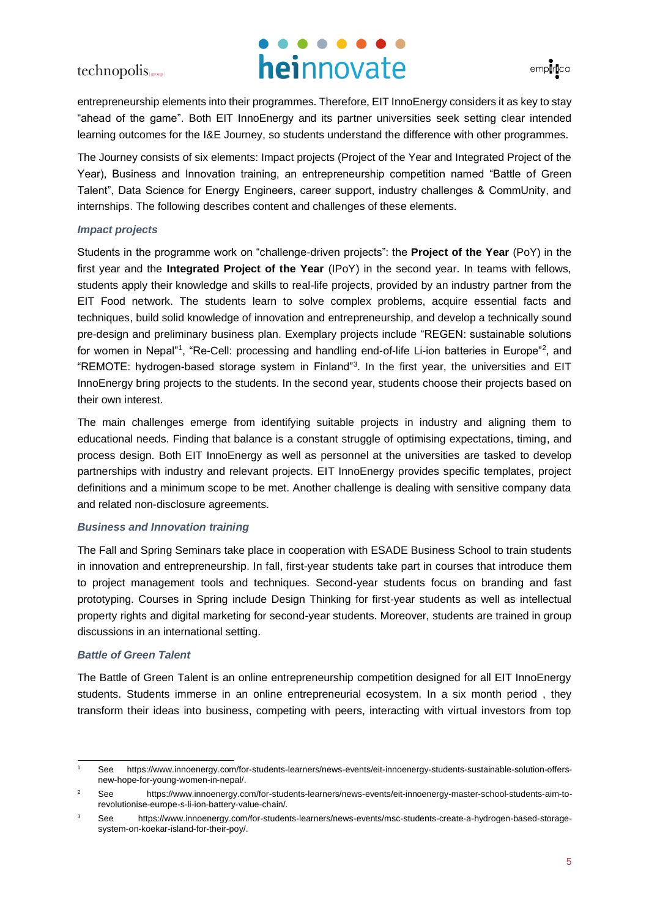# heinnovate



entrepreneurship elements into their programmes. Therefore, EIT InnoEnergy considers it as key to stay "ahead of the game". Both EIT InnoEnergy and its partner universities seek setting clear intended learning outcomes for the I&E Journey, so students understand the difference with other programmes.

The Journey consists of six elements: Impact projects (Project of the Year and Integrated Project of the Year), Business and Innovation training, an entrepreneurship competition named "Battle of Green Talent", Data Science for Energy Engineers, career support, industry challenges & CommUnity, and internships. The following describes content and challenges of these elements.

## *Impact projects*

Students in the programme work on "challenge-driven projects": the **Project of the Year** (PoY) in the first year and the **Integrated Project of the Year** (IPoY) in the second year. In teams with fellows, students apply their knowledge and skills to real-life projects, provided by an industry partner from the EIT Food network. The students learn to solve complex problems, acquire essential facts and techniques, build solid knowledge of innovation and entrepreneurship, and develop a technically sound pre-design and preliminary business plan. Exemplary projects include "REGEN: sustainable solutions for women in Nepal"<sup>1</sup>, "Re-Cell: processing and handling end-of-life Li-ion batteries in Europe"<sup>2</sup>, and "REMOTE: hydrogen-based storage system in Finland"<sup>3</sup> . In the first year, the universities and EIT InnoEnergy bring projects to the students. In the second year, students choose their projects based on their own interest.

The main challenges emerge from identifying suitable projects in industry and aligning them to educational needs. Finding that balance is a constant struggle of optimising expectations, timing, and process design. Both EIT InnoEnergy as well as personnel at the universities are tasked to develop partnerships with industry and relevant projects. EIT InnoEnergy provides specific templates, project definitions and a minimum scope to be met. Another challenge is dealing with sensitive company data and related non-disclosure agreements.

## *Business and Innovation training*

The Fall and Spring Seminars take place in cooperation with ESADE Business School to train students in innovation and entrepreneurship. In fall, first-year students take part in courses that introduce them to project management tools and techniques. Second-year students focus on branding and fast prototyping. Courses in Spring include Design Thinking for first-year students as well as intellectual property rights and digital marketing for second-year students. Moreover, students are trained in group discussions in an international setting.

## *Battle of Green Talent*

The Battle of Green Talent is an online entrepreneurship competition designed for all EIT InnoEnergy students. Students immerse in an online entrepreneurial ecosystem. In a six month period , they transform their ideas into business, competing with peers, interacting with virtual investors from top

<sup>1</sup> See https://www.innoenergy.com/for-students-learners/news-events/eit-innoenergy-students-sustainable-solution-offersnew-hope-for-young-women-in-nepal/.

<sup>&</sup>lt;sup>2</sup> See https://www.innoenergy.com/for-students-learners/news-events/eit-innoenergy-master-school-students-aim-torevolutionise-europe-s-li-ion-battery-value-chain/.

<sup>3</sup> See https://www.innoenergy.com/for-students-learners/news-events/msc-students-create-a-hydrogen-based-storagesystem-on-koekar-island-for-their-poy/.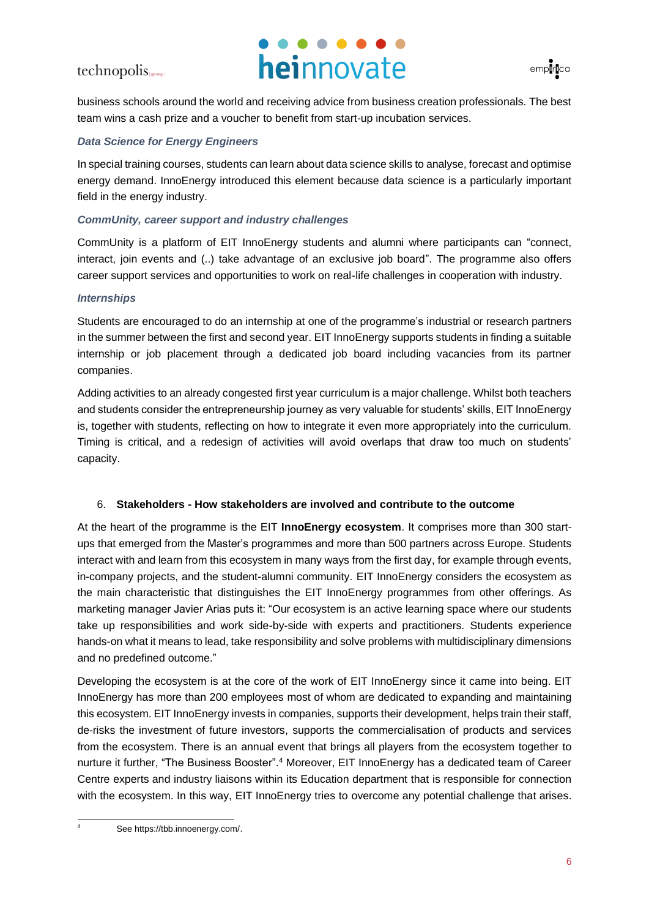



business schools around the world and receiving advice from business creation professionals. The best team wins a cash prize and a voucher to benefit from start-up incubation services.

## *Data Science for Energy Engineers*

In special training courses, students can learn about data science skills to analyse, forecast and optimise energy demand. InnoEnergy introduced this element because data science is a particularly important field in the energy industry.

## *CommUnity, career support and industry challenges*

CommUnity is a platform of EIT InnoEnergy students and alumni where participants can "connect, interact, join events and (..) take advantage of an exclusive job board". The programme also offers career support services and opportunities to work on real-life challenges in cooperation with industry.

## *Internships*

Students are encouraged to do an internship at one of the programme's industrial or research partners in the summer between the first and second year. EIT InnoEnergy supports students in finding a suitable internship or job placement through a dedicated job board including vacancies from its partner companies.

Adding activities to an already congested first year curriculum is a major challenge. Whilst both teachers and students consider the entrepreneurship journey as very valuable for students' skills, EIT InnoEnergy is, together with students, reflecting on how to integrate it even more appropriately into the curriculum. Timing is critical, and a redesign of activities will avoid overlaps that draw too much on students' capacity.

## 6. **Stakeholders - How stakeholders are involved and contribute to the outcome**

At the heart of the programme is the EIT **InnoEnergy ecosystem**. It comprises more than 300 startups that emerged from the Master's programmes and more than 500 partners across Europe. Students interact with and learn from this ecosystem in many ways from the first day, for example through events, in-company projects, and the student-alumni community. EIT InnoEnergy considers the ecosystem as the main characteristic that distinguishes the EIT InnoEnergy programmes from other offerings. As marketing manager Javier Arias puts it: "Our ecosystem is an active learning space where our students take up responsibilities and work side-by-side with experts and practitioners. Students experience hands-on what it means to lead, take responsibility and solve problems with multidisciplinary dimensions and no predefined outcome."

Developing the ecosystem is at the core of the work of EIT InnoEnergy since it came into being. EIT InnoEnergy has more than 200 employees most of whom are dedicated to expanding and maintaining this ecosystem. EIT InnoEnergy invests in companies, supports their development, helps train their staff, de-risks the investment of future investors, supports the commercialisation of products and services from the ecosystem. There is an annual event that brings all players from the ecosystem together to nurture it further, "The Business Booster". <sup>4</sup> Moreover, EIT InnoEnergy has a dedicated team of Career Centre experts and industry liaisons within its Education department that is responsible for connection with the ecosystem. In this way, EIT InnoEnergy tries to overcome any potential challenge that arises.

See https://tbb.innoenergy.com/.